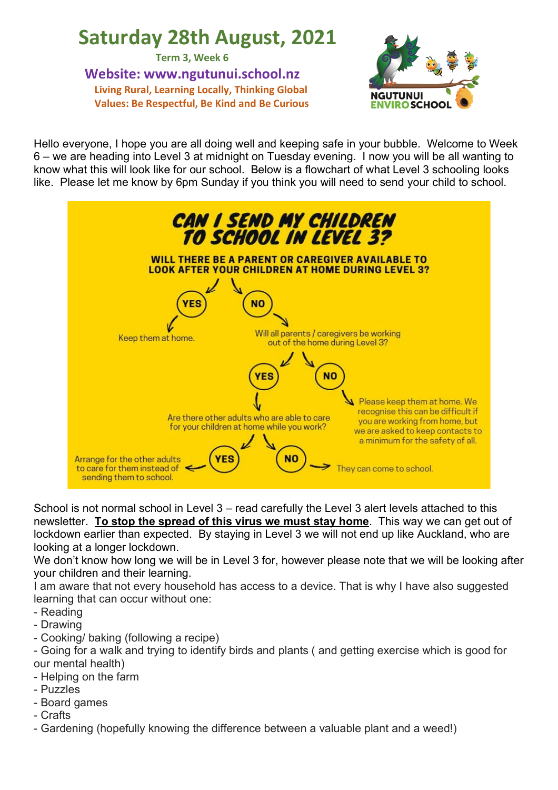# **Saturday 28th August, 2021**

**Term 3, Week 6**

**Website: www.ngutunui.school.nz Living Rural, Learning Locally, Thinking Global Values: Be Respectful, Be Kind and Be Curious**



Hello everyone, I hope you are all doing well and keeping safe in your bubble. Welcome to Week 6 – we are heading into Level 3 at midnight on Tuesday evening. I now you will be all wanting to know what this will look like for our school. Below is a flowchart of what Level 3 schooling looks like. Please let me know by 6pm Sunday if you think you will need to send your child to school.



School is not normal school in Level 3 – read carefully the Level 3 alert levels attached to this newsletter. **To stop the spread of this virus we must stay home**. This way we can get out of lockdown earlier than expected. By staying in Level 3 we will not end up like Auckland, who are looking at a longer lockdown.

We don't know how long we will be in Level 3 for, however please note that we will be looking after your children and their learning.

I am aware that not every household has access to a device. That is why I have also suggested learning that can occur without one:

- Reading
- Drawing
- Cooking/ baking (following a recipe)

- Going for a walk and trying to identify birds and plants ( and getting exercise which is good for our mental health)

- Helping on the farm
- Puzzles
- Board games
- Crafts

- Gardening (hopefully knowing the difference between a valuable plant and a weed!)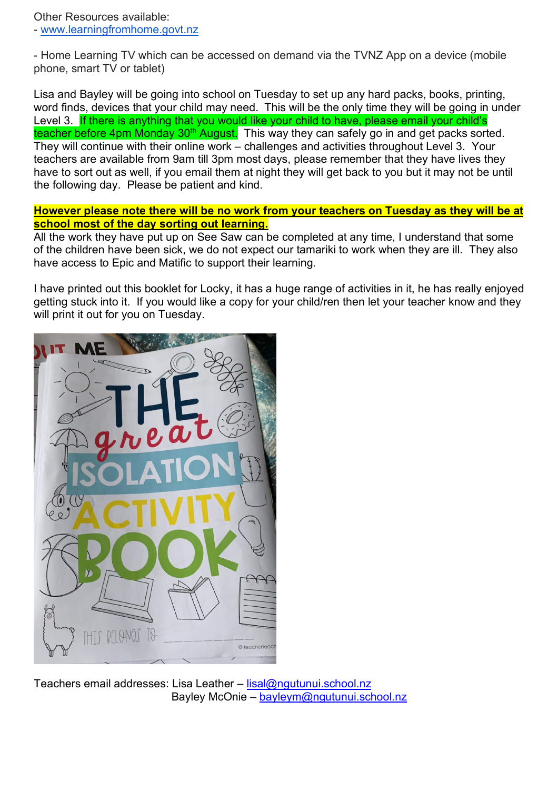Other Resources available: - www.learningfromhome.govt.nz

- Home Learning TV which can be accessed on demand via the TVNZ App on a device (mobile phone, smart TV or tablet)

Lisa and Bayley will be going into school on Tuesday to set up any hard packs, books, printing, word finds, devices that your child may need. This will be the only time they will be going in under Level 3. If there is anything that you would like your child to have, please email your child's teacher before 4pm Monday 30<sup>th</sup> August. This way they can safely go in and get packs sorted. They will continue with their online work – challenges and activities throughout Level 3. Your teachers are available from 9am till 3pm most days, please remember that they have lives they have to sort out as well, if you email them at night they will get back to you but it may not be until the following day. Please be patient and kind.

## **However please note there will be no work from your teachers on Tuesday as they will be at school most of the day sorting out learning.**

All the work they have put up on See Saw can be completed at any time, I understand that some of the children have been sick, we do not expect our tamariki to work when they are ill. They also have access to Epic and Matific to support their learning.

I have printed out this booklet for Locky, it has a huge range of activities in it, he has really enjoyed getting stuck into it. If you would like a copy for your child/ren then let your teacher know and they will print it out for you on Tuesday.



Teachers email addresses: Lisa Leather – lisal@ngutunui.school.nz Bayley McOnie – bayleym@ngutunui.school.nz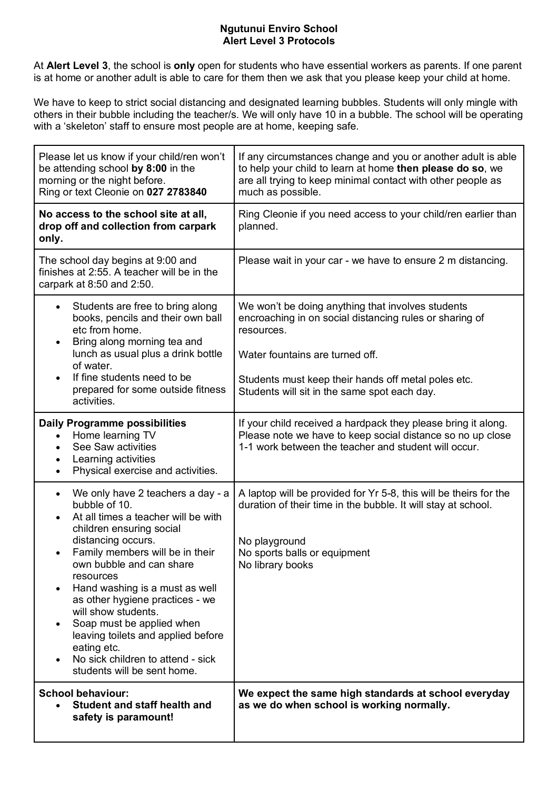### **Ngutunui Enviro School Alert Level 3 Protocols**

At **Alert Level 3**, the school is **only** open for students who have essential workers as parents. If one parent is at home or another adult is able to care for them then we ask that you please keep your child at home.

We have to keep to strict social distancing and designated learning bubbles. Students will only mingle with others in their bubble including the teacher/s. We will only have 10 in a bubble. The school will be operating with a 'skeleton' staff to ensure most people are at home, keeping safe.

| Please let us know if your child/ren won't<br>be attending school by 8:00 in the<br>morning or the night before.<br>Ring or text Cleonie on 027 2783840                                                                                                                                                                                                                                                                                                                                                                                    | If any circumstances change and you or another adult is able<br>to help your child to learn at home then please do so, we<br>are all trying to keep minimal contact with other people as<br>much as possible.                                                        |
|--------------------------------------------------------------------------------------------------------------------------------------------------------------------------------------------------------------------------------------------------------------------------------------------------------------------------------------------------------------------------------------------------------------------------------------------------------------------------------------------------------------------------------------------|----------------------------------------------------------------------------------------------------------------------------------------------------------------------------------------------------------------------------------------------------------------------|
| No access to the school site at all,<br>drop off and collection from carpark<br>only.                                                                                                                                                                                                                                                                                                                                                                                                                                                      | Ring Cleonie if you need access to your child/ren earlier than<br>planned.                                                                                                                                                                                           |
| The school day begins at 9:00 and<br>finishes at 2:55. A teacher will be in the<br>carpark at 8:50 and 2:50.                                                                                                                                                                                                                                                                                                                                                                                                                               | Please wait in your car - we have to ensure 2 m distancing.                                                                                                                                                                                                          |
| Students are free to bring along<br>$\bullet$<br>books, pencils and their own ball<br>etc from home.<br>Bring along morning tea and<br>$\bullet$<br>lunch as usual plus a drink bottle<br>of water.<br>If fine students need to be<br>$\bullet$<br>prepared for some outside fitness<br>activities.                                                                                                                                                                                                                                        | We won't be doing anything that involves students<br>encroaching in on social distancing rules or sharing of<br>resources.<br>Water fountains are turned off.<br>Students must keep their hands off metal poles etc.<br>Students will sit in the same spot each day. |
| <b>Daily Programme possibilities</b><br>Home learning TV<br>$\bullet$<br>See Saw activities<br>$\bullet$<br>Learning activities<br>Physical exercise and activities.                                                                                                                                                                                                                                                                                                                                                                       | If your child received a hardpack they please bring it along.<br>Please note we have to keep social distance so no up close<br>1-1 work between the teacher and student will occur.                                                                                  |
| We only have 2 teachers a day - a<br>$\bullet$<br>bubble of 10.<br>At all times a teacher will be with<br>$\bullet$<br>children ensuring social<br>distancing occurs.<br>Family members will be in their<br>$\bullet$<br>own bubble and can share<br>resources<br>Hand washing is a must as well<br>$\bullet$<br>as other hygiene practices - we<br>will show students.<br>Soap must be applied when<br>leaving toilets and applied before<br>eating etc.<br>No sick children to attend - sick<br>$\bullet$<br>students will be sent home. | A laptop will be provided for Yr 5-8, this will be theirs for the<br>duration of their time in the bubble. It will stay at school.<br>No playground<br>No sports balls or equipment<br>No library books                                                              |
| <b>School behaviour:</b><br><b>Student and staff health and</b><br>safety is paramount!                                                                                                                                                                                                                                                                                                                                                                                                                                                    | We expect the same high standards at school everyday<br>as we do when school is working normally.                                                                                                                                                                    |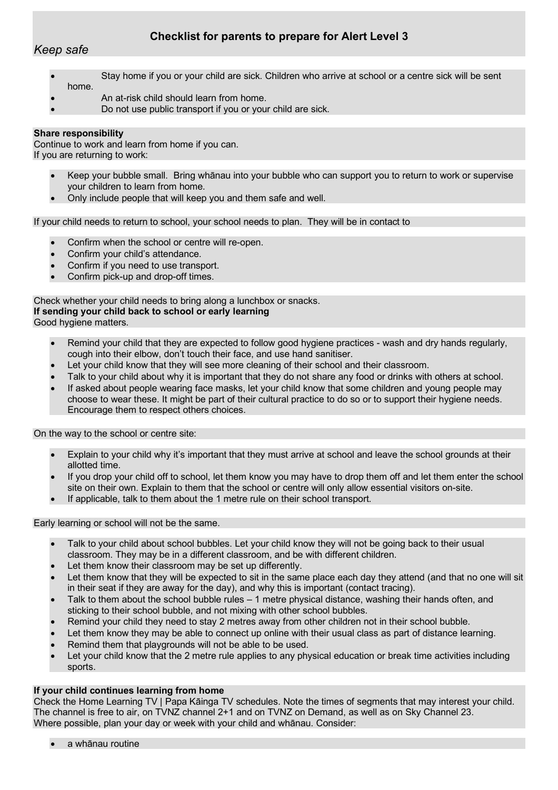## **Checklist for parents to prepare for Alert Level 3**

*Keep safe*

- Stay home if you or your child are sick. Children who arrive at school or a centre sick will be sent home.
- An at-risk child should learn from home.
- Do not use public transport if you or your child are sick.

#### **Share responsibility**

Continue to work and learn from home if you can. If you are returning to work:

- Keep your bubble small. Bring whānau into your bubble who can support you to return to work or supervise your children to learn from home.
- Only include people that will keep you and them safe and well.

If your child needs to return to school, your school needs to plan. They will be in contact to

- Confirm when the school or centre will re-open.
- Confirm your child's attendance.
- Confirm if you need to use transport.
- Confirm pick-up and drop-off times.

Check whether your child needs to bring along a lunchbox or snacks. **If sending your child back to school or early learning** Good hygiene matters.

- Remind your child that they are expected to follow good hygiene practices wash and dry hands regularly, cough into their elbow, don't touch their face, and use hand sanitiser.
- Let your child know that they will see more cleaning of their school and their classroom.
- Talk to your child about why it is important that they do not share any food or drinks with others at school.
- If asked about people wearing face masks, let your child know that some children and young people may choose to wear these. It might be part of their cultural practice to do so or to support their hygiene needs. Encourage them to respect others choices.

On the way to the school or centre site:

- Explain to your child why it's important that they must arrive at school and leave the school grounds at their allotted time.
- If you drop your child off to school, let them know you may have to drop them off and let them enter the school site on their own. Explain to them that the school or centre will only allow essential visitors on-site.
- If applicable, talk to them about the 1 metre rule on their school transport.

Early learning or school will not be the same.

- Talk to your child about school bubbles. Let your child know they will not be going back to their usual classroom. They may be in a different classroom, and be with different children.
- Let them know their classroom may be set up differently.
- Let them know that they will be expected to sit in the same place each day they attend (and that no one will sit in their seat if they are away for the day), and why this is important (contact tracing).
- Talk to them about the school bubble rules 1 metre physical distance, washing their hands often, and sticking to their school bubble, and not mixing with other school bubbles.
- Remind your child they need to stay 2 metres away from other children not in their school bubble.
- Let them know they may be able to connect up online with their usual class as part of distance learning.
- Remind them that playgrounds will not be able to be used.
- Let your child know that the 2 metre rule applies to any physical education or break time activities including sports.

#### **If your child continues learning from home**

Check the Home Learning TV | Papa Kāinga TV schedules. Note the times of segments that may interest your child. The channel is free to air, on TVNZ channel 2+1 and on TVNZ on Demand, as well as on Sky Channel 23. Where possible, plan your day or week with your child and whānau. Consider:

a whānau routine